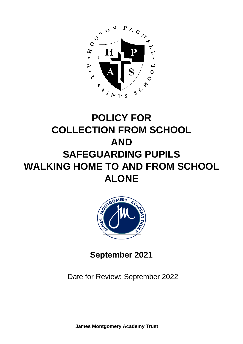

# **POLICY FOR COLLECTION FROM SCHOOL AND SAFEGUARDING PUPILS WALKING HOME TO AND FROM SCHOOL ALONE**



**September 2021**

Date for Review: September 2022

**James Montgomery Academy Trust**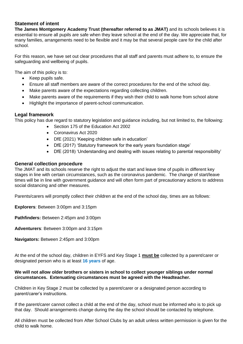#### **Statement of intent**

**The James Montgomery Academy Trust (thereafter referred to as JMAT)** and its schools believes it is essential to ensure all pupils are safe when they leave school at the end of the day. We appreciate that, for many families, arrangements need to be flexible and it may be that several people care for the child after school.

For this reason, we have set out clear procedures that all staff and parents must adhere to, to ensure the safeguarding and wellbeing of pupils.

The aim of this policy is to:

- Keep pupils safe.
- Ensure all staff members are aware of the correct procedures for the end of the school day.
- Make parents aware of the expectations regarding collecting children.
- Make parents aware of the requirements if they wish their child to walk home from school alone
- Highlight the importance of parent-school communication.

#### **Legal framework**

This policy has due regard to statutory legislation and guidance including, but not limited to, the following:

- Section 175 of the Education Act 2002
- Coronavirus Act 2020
- DfE (2021) 'Keeping children safe in education'
- DfE (2017) 'Statutory framework for the early years foundation stage'
- DfE (2018) 'Understanding and dealing with issues relating to parental responsibility'

#### **General collection procedure**

The JMAT and its schools reserve the right to adjust the start and leave time of pupils in different key stages in line with certain circumstances, such as the coronavirus pandemic. The change of start/leave times will be in line with government guidance and will often form part of precautionary actions to address social distancing and other measures.

Parents/carers will promptly collect their children at the end of the school day, times are as follows:

**Explorers**: Between 3:00pm and 3:15pm

**Pathfinders:** Between 2:45pm and 3:00pm

**Adventurers**: Between 3:00pm and 3:15pm

**Navigators:** Between 2:45pm and 3:00pm

At the end of the school day, children in EYFS and Key Stage 1 **must be** collected by a parent/carer or designated person who is at least **16 years** of age.

#### **We will not allow older brothers or sisters in school to collect younger siblings under normal circumstances. Extenuating circumstances must be agreed with the Headteacher.**

Children in Key Stage 2 must be collected by a parent/carer or a designated person according to parent/carer's instructions.

If the parent/carer cannot collect a child at the end of the day, school must be informed who is to pick up that day. Should arrangements change during the day the school should be contacted by telephone.

All children must be collected from After School Clubs by an adult unless written permission is given for the child to walk home.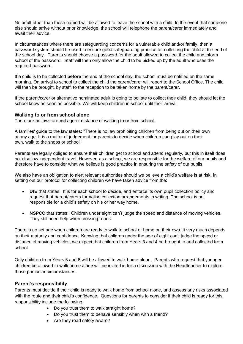No adult other than those named will be allowed to leave the school with a child. In the event that someone else should arrive without prior knowledge, the school will telephone the parent/carer immediately and await their advice.

In circumstances where there are safeguarding concerns for a vulnerable child and/or family, then a password system should be used to ensure good safeguarding practice for collecting the child at the end of the school day. Parents should choose a password for the adult allowed to collect the child and inform school of the password. Staff will then only allow the child to be picked up by the adult who uses the required password.

If a child is to be collected **before** the end of the school day, the school must be notified on the same morning. On arrival to school to collect the child the parent/carer will report to the School Office. The child will then be brought, by staff, to the reception to be taken home by the parent/carer.

If the parent/carer or alternative nominated adult is going to be late to collect their child, they should let the school know as soon as possible. We will keep children in school until their arrival

#### **Walking to or from school alone**

There are no laws around age or distance of walking to or from school.

A families' guide to the law states: "There is no law prohibiting children from being out on their own at any age. It is a matter of judgement for parents to decide when children can play out on their own, walk to the shops or school."

Parents are legally obliged to ensure their children get to school and attend regularly, but this in itself does not disallow independent travel. However, as a school, we are responsible for the welfare of our pupils and therefore have to consider what we believe is good practice in ensuring the safety of our pupils.

We also have an obligation to alert relevant authorities should we believe a child's welfare is at risk. In setting out our protocol for collecting children we have taken advice from the:

- **DfE** that states: It is for each school to decide, and enforce its own pupil collection policy and request that parent/carers formalise collection arrangements in writing. The school is not responsible for a child's safety on his or her way home.
- **NSPCC** that states: Children under eight can't judge the speed and distance of moving vehicles. They still need help when crossing roads.

There is no set age when children are ready to walk to school or home on their own. It very much depends on their maturity and confidence. Knowing that children under the age of eight can't judge the speed or distance of moving vehicles, we expect that children from Years 3 and 4 be brought to and collected from school.

Only children from Years 5 and 6 will be allowed to walk home alone. Parents who request that younger children be allowed to walk home alone will be invited in for a discussion with the Headteacher to explore those particular circumstances.

#### **Parent's responsibility**

Parents must decide if their child is ready to walk home from school alone, and assess any risks associated with the route and their child's confidence. Questions for parents to consider if their child is ready for this responsibility include the following:

- Do you trust them to walk straight home?
- Do you trust them to behave sensibly when with a friend?
- Are they road safety aware?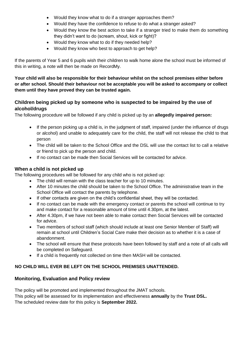- Would they know what to do if a stranger approaches them?
- Would they have the confidence to refuse to do what a stranger asked?
- Would they know the best action to take if a stranger tried to make them do something they didn't want to do (scream, shout, kick or fight)?
- Would they know what to do if they needed help?
- Would they know who best to approach to get help?

If the parents of Year 5 and 6 pupils wish their children to walk home alone the school must be informed of this in writing, a note will then be made on RecordMy.

**Your child will also be responsible for their behaviour whilst on the school premises either before or after school. Should their behaviour not be acceptable you will be asked to accompany or collect them until they have proved they can be trusted again.**

## **Children being picked up by someone who is suspected to be impaired by the use of alcohol/drugs**

The following procedure will be followed if any child is picked up by an **allegedly impaired person:**

- If the person picking up a child is, in the judgment of staff, impaired (under the influence of drugs or alcohol) and unable to adequately care for the child, the staff will not release the child to that person
- The child will be taken to the School Office and the DSL will use the contact list to call a relative or friend to pick up the person and child.
- If no contact can be made then Social Services will be contacted for advice.

# **When a child is not picked up**

The following procedures will be followed for any child who is not picked up:

- The child will remain with the class teacher for up to 10 minutes.
- After 10 minutes the child should be taken to the School Office. The administrative team in the School Office will contact the parents by telephone.
- If other contacts are given on the child's confidential sheet, they will be contacted.
- If no contact can be made with the emergency contact or parents the school will continue to try and make contact for a reasonable amount of time until 4.30pm, at the latest.
- After 4.30pm, if we have not been able to make contact then Social Services will be contacted for advice.
- Two members of school staff (which should include at least one Senior Member of Staff) will remain at school until Children's Social Care make their decision as to whether it is a case of abandonment.
- The school will ensure that these protocols have been followed by staff and a note of all calls will be completed on Safeguard.
- If a child is frequently not collected on time then MASH will be contacted.

## **NO CHILD WILL EVER BE LEFT ON THE SCHOOL PREMISES UNATTENDED.**

## **Monitoring, Evaluation and Policy review**

The policy will be promoted and implemented throughout the JMAT schools.

This policy will be assessed for its implementation and effectiveness **annually** by the **Trust DSL.** The scheduled review date for this policy is **September 2022.**